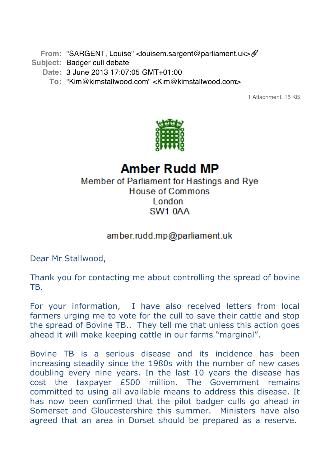From: "SARGENT, Louise" < louisem.sargent@parliament.uk

- **Subject:** Badger cull debate
	- **Date:** 3 June 2013 17:07:05 GMT+01:00
		- **To:** "Kim@kimstallwood.com" <Kim@kimstallwood.com>

1 Attachment, 15 KB



## **Amber Rudd MP** Member of Parliament for Hastings and Rye

## House of Commons London SW<sub>1</sub> 0AA

## amber.rudd.mp@parliament.uk

Dear Mr Stallwood,

Thank you for contacting me about controlling the spread of bovine TB.

For your information, I have also received letters from local farmers urging me to vote for the cull to save their cattle and stop the spread of Bovine TB.. They tell me that unless this action goes ahead it will make keeping cattle in our farms "marginal".

Bovine TB is a serious disease and its incidence has been increasing steadily since the 1980s with the number of new cases doubling every nine years. In the last 10 years the disease has cost the taxpayer £500 million. The Government remains committed to using all available means to address this disease. It has now been confirmed that the pilot badger culls go ahead in Somerset and Gloucestershire this summer. Ministers have also agreed that an area in Dorset should be prepared as a reserve.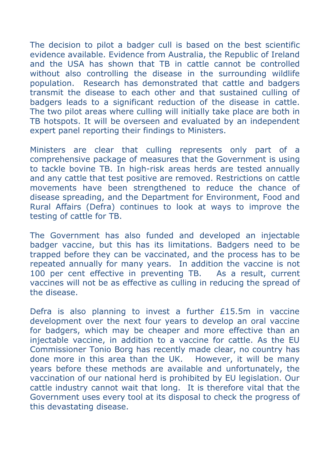The decision to pilot a badger cull is based on the best scientific evidence available. Evidence from Australia, the Republic of Ireland and the USA has shown that TB in cattle cannot be controlled without also controlling the disease in the surrounding wildlife population. Research has demonstrated that cattle and badgers transmit the disease to each other and that sustained culling of badgers leads to a significant reduction of the disease in cattle. The two pilot areas where culling will initially take place are both in TB hotspots. It will be overseen and evaluated by an independent expert panel reporting their findings to Ministers.

Ministers are clear that culling represents only part of a comprehensive package of measures that the Government is using to tackle bovine TB. In high-risk areas herds are tested annually and any cattle that test positive are removed. Restrictions on cattle movements have been strengthened to reduce the chance of disease spreading, and the Department for Environment, Food and Rural Affairs (Defra) continues to look at ways to improve the testing of cattle for TB.

The Government has also funded and developed an injectable badger vaccine, but this has its limitations. Badgers need to be trapped before they can be vaccinated, and the process has to be repeated annually for many years. In addition the vaccine is not 100 per cent effective in preventing TB. As a result, current vaccines will not be as effective as culling in reducing the spread of the disease.

Defra is also planning to invest a further £15.5m in vaccine development over the next four years to develop an oral vaccine for badgers, which may be cheaper and more effective than an injectable vaccine, in addition to a vaccine for cattle. As the EU Commissioner Tonio Borg has recently made clear, no country has done more in this area than the UK. However, it will be many years before these methods are available and unfortunately, the vaccination of our national herd is prohibited by EU legislation. Our cattle industry cannot wait that long. It is therefore vital that the Government uses every tool at its disposal to check the progress of this devastating disease.